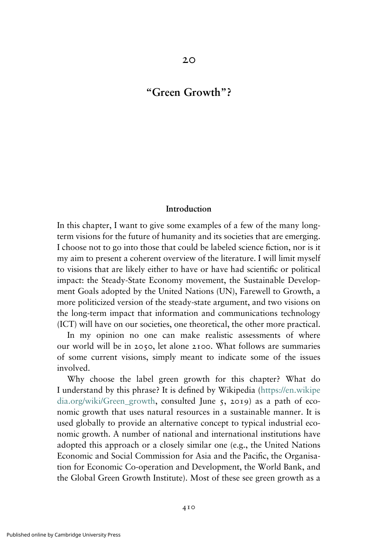# "Green Growth"?

### Introduction

In this chapter, I want to give some examples of a few of the many longterm visions for the future of humanity and its societies that are emerging. I choose not to go into those that could be labeled science fiction, nor is it my aim to present a coherent overview of the literature. I will limit myself to visions that are likely either to have or have had scientific or political impact: the Steady-State Economy movement, the Sustainable Development Goals adopted by the United Nations (UN), Farewell to Growth, a more politicized version of the steady-state argument, and two visions on the long-term impact that information and communications technology (ICT) will have on our societies, one theoretical, the other more practical.

In my opinion no one can make realistic assessments of where our world will be in 2050, let alone 2100. What follows are summaries of some current visions, simply meant to indicate some of the issues involved.

Why choose the label green growth for this chapter? What do I understand by this phrase? It is defined by Wikipedia ([https://en.wikipe](https://en.wikipedia.org/wiki/Green_growth) [dia.org/wiki/Green\\_growth](https://en.wikipedia.org/wiki/Green_growth), consulted June 5, 2019) as a path of economic growth that uses natural resources in a sustainable manner. It is used globally to provide an alternative concept to typical industrial economic growth. A number of national and international institutions have adopted this approach or a closely similar one (e.g., the United Nations Economic and Social Commission for Asia and the Pacific, the Organisation for Economic Co-operation and Development, the World Bank, and the Global Green Growth Institute). Most of these see green growth as a

20

 $20$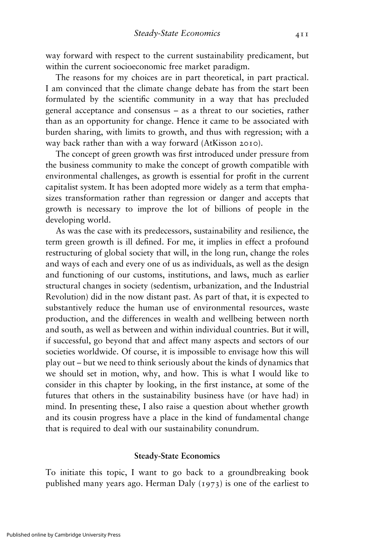way forward with respect to the current sustainability predicament, but within the current socioeconomic free market paradigm.

The reasons for my choices are in part theoretical, in part practical. I am convinced that the climate change debate has from the start been formulated by the scientific community in a way that has precluded general acceptance and consensus – as a threat to our societies, rather than as an opportunity for change. Hence it came to be associated with burden sharing, with limits to growth, and thus with regression; with a way back rather than with a way forward (AtKisson 2010).

The concept of green growth was first introduced under pressure from the business community to make the concept of growth compatible with environmental challenges, as growth is essential for profit in the current capitalist system. It has been adopted more widely as a term that emphasizes transformation rather than regression or danger and accepts that growth is necessary to improve the lot of billions of people in the developing world.

As was the case with its predecessors, sustainability and resilience, the term green growth is ill defined. For me, it implies in effect a profound restructuring of global society that will, in the long run, change the roles and ways of each and every one of us as individuals, as well as the design and functioning of our customs, institutions, and laws, much as earlier structural changes in society (sedentism, urbanization, and the Industrial Revolution) did in the now distant past. As part of that, it is expected to substantively reduce the human use of environmental resources, waste production, and the differences in wealth and wellbeing between north and south, as well as between and within individual countries. But it will, if successful, go beyond that and affect many aspects and sectors of our societies worldwide. Of course, it is impossible to envisage how this will play out – but we need to think seriously about the kinds of dynamics that we should set in motion, why, and how. This is what I would like to consider in this chapter by looking, in the first instance, at some of the futures that others in the sustainability business have (or have had) in mind. In presenting these, I also raise a question about whether growth and its cousin progress have a place in the kind of fundamental change that is required to deal with our sustainability conundrum.

### Steady-State Economics

To initiate this topic, I want to go back to a groundbreaking book published many years ago. Herman Daly (1973) is one of the earliest to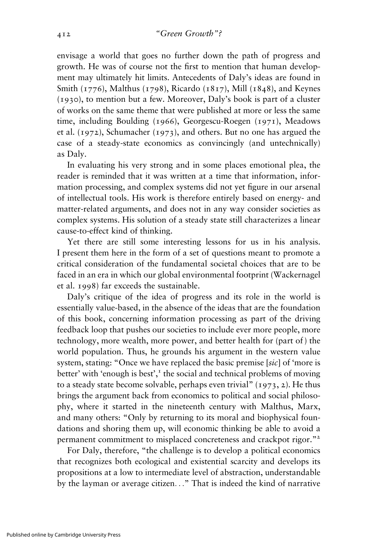envisage a world that goes no further down the path of progress and growth. He was of course not the first to mention that human development may ultimately hit limits. Antecedents of Daly's ideas are found in Smith (1776), Malthus (1798), Ricardo (1817), Mill (1848), and Keynes (1930), to mention but a few. Moreover, Daly's book is part of a cluster of works on the same theme that were published at more or less the same time, including Boulding (1966), Georgescu-Roegen (1971), Meadows et al. (1972), Schumacher (1973), and others. But no one has argued the case of a steady-state economics as convincingly (and untechnically) as Daly.

In evaluating his very strong and in some places emotional plea, the reader is reminded that it was written at a time that information, information processing, and complex systems did not yet figure in our arsenal of intellectual tools. His work is therefore entirely based on energy- and matter-related arguments, and does not in any way consider societies as complex systems. His solution of a steady state still characterizes a linear cause-to-effect kind of thinking.

Yet there are still some interesting lessons for us in his analysis. I present them here in the form of a set of questions meant to promote a critical consideration of the fundamental societal choices that are to be faced in an era in which our global environmental footprint (Wackernagel et al. 1998) far exceeds the sustainable.

Daly's critique of the idea of progress and its role in the world is essentially value-based, in the absence of the ideas that are the foundation of this book, concerning information processing as part of the driving feedback loop that pushes our societies to include ever more people, more technology, more wealth, more power, and better health for (part of ) the world population. Thus, he grounds his argument in the western value system, stating: "Once we have replaced the basic premise [sic] of 'more is better' with 'enough is best', <sup>1</sup> the social and technical problems of moving to a steady state become solvable, perhaps even trivial" (1973, 2). He thus brings the argument back from economics to political and social philosophy, where it started in the nineteenth century with Malthus, Marx, and many others: "Only by returning to its moral and biophysical foundations and shoring them up, will economic thinking be able to avoid a permanent commitment to misplaced concreteness and crackpot rigor."2

For Daly, therefore, "the challenge is to develop a political economics that recognizes both ecological and existential scarcity and develops its propositions at a low to intermediate level of abstraction, understandable by the layman or average citizen..." That is indeed the kind of narrative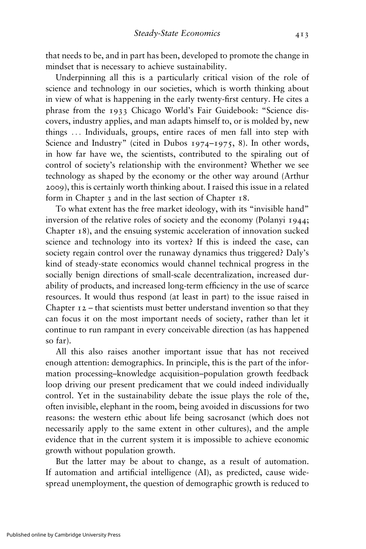that needs to be, and in part has been, developed to promote the change in mindset that is necessary to achieve sustainability.

Underpinning all this is a particularly critical vision of the role of science and technology in our societies, which is worth thinking about in view of what is happening in the early twenty-first century. He cites a phrase from the 1933 Chicago World's Fair Guidebook: "Science discovers, industry applies, and man adapts himself to, or is molded by, new things ... Individuals, groups, entire races of men fall into step with Science and Industry" (cited in Dubos 1974–1975, 8). In other words, in how far have we, the scientists, contributed to the spiraling out of control of society's relationship with the environment? Whether we see technology as shaped by the economy or the other way around (Arthur 2009), this is certainly worth thinking about. I raised this issue in a related form in Chapter 3 and in the last section of Chapter 18.

To what extent has the free market ideology, with its "invisible hand" inversion of the relative roles of society and the economy (Polanyi 1944; Chapter 18), and the ensuing systemic acceleration of innovation sucked science and technology into its vortex? If this is indeed the case, can society regain control over the runaway dynamics thus triggered? Daly's kind of steady-state economics would channel technical progress in the socially benign directions of small-scale decentralization, increased durability of products, and increased long-term efficiency in the use of scarce resources. It would thus respond (at least in part) to the issue raised in Chapter 12 – that scientists must better understand invention so that they can focus it on the most important needs of society, rather than let it continue to run rampant in every conceivable direction (as has happened so far).

All this also raises another important issue that has not received enough attention: demographics. In principle, this is the part of the information processing–knowledge acquisition–population growth feedback loop driving our present predicament that we could indeed individually control. Yet in the sustainability debate the issue plays the role of the, often invisible, elephant in the room, being avoided in discussions for two reasons: the western ethic about life being sacrosanct (which does not necessarily apply to the same extent in other cultures), and the ample evidence that in the current system it is impossible to achieve economic growth without population growth.

But the latter may be about to change, as a result of automation. If automation and artificial intelligence (AI), as predicted, cause widespread unemployment, the question of demographic growth is reduced to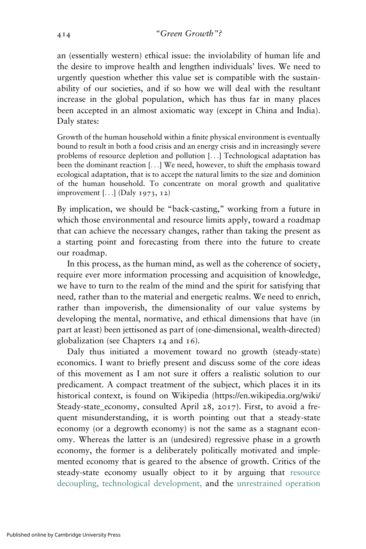an (essentially western) ethical issue: the inviolability of human life and the desire to improve health and lengthen individuals' lives. We need to urgently question whether this value set is compatible with the sustainability of our societies, and if so how we will deal with the resultant increase in the global population, which has thus far in many places been accepted in an almost axiomatic way (except in China and India). Daly states:

Growth of the human household within a finite physical environment is eventually bound to result in both a food crisis and an energy crisis and in increasingly severe problems of resource depletion and pollution [...] Technological adaptation has been the dominant reaction [...] We need, however, to shift the emphasis toward ecological adaptation, that is to accept the natural limits to the size and dominion of the human household. To concentrate on moral growth and qualitative improvement [...] (Daly 1973, 12)

By implication, we should be "back-casting," working from a future in which those environmental and resource limits apply, toward a roadmap that can achieve the necessary changes, rather than taking the present as a starting point and forecasting from there into the future to create our roadmap.

In this process, as the human mind, as well as the coherence of society, require ever more information processing and acquisition of knowledge, we have to turn to the realm of the mind and the spirit for satisfying that need, rather than to the material and energetic realms. We need to enrich, rather than impoverish, the dimensionality of our value systems by developing the mental, normative, and ethical dimensions that have (in part at least) been jettisoned as part of (one-dimensional, wealth-directed) globalization (see Chapters 14 and 16).

Daly thus initiated a movement toward no growth (steady-state) economics. I want to briefly present and discuss some of the core ideas of this movement as I am not sure it offers a realistic solution to our predicament. A compact treatment of the subject, which places it in its historical context, is found on Wikipedia (https://en.wikipedia.org/wiki/ Steady-state economy, consulted April 28, 2017). First, to avoid a frequent misunderstanding, it is worth pointing out that a steady-state economy (or a degrowth economy) is not the same as a stagnant economy. Whereas the latter is an (undesired) regressive phase in a growth economy, the former is a deliberately politically motivated and implemented economy that is geared to the absence of growth. Critics of the steady-state economy usually object to it by arguing that [resource](https://en.wikipedia.org/wiki/Sustainability#Decoupling_environmental_degradation_and_economic_growth) [decoupling,](https://en.wikipedia.org/wiki/Sustainability#Decoupling_environmental_degradation_and_economic_growth) [technological development,](https://en.wikipedia.org/wiki/Productivity_improving_technologies) and the [unrestrained operation](https://en.wikipedia.org/wiki/Market_%28economics%29#Mechanisms_of_markets)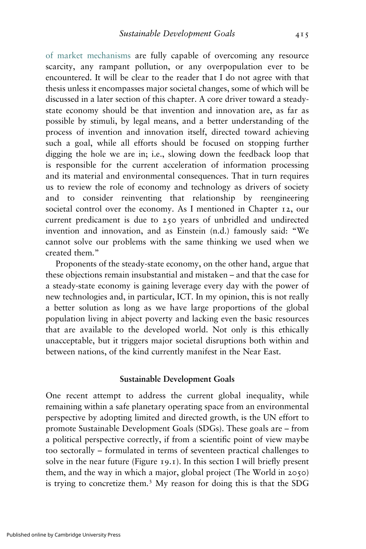[of market mechanisms](https://en.wikipedia.org/wiki/Market_%28economics%29#Mechanisms_of_markets) are fully capable of overcoming any resource scarcity, any rampant pollution, or any overpopulation ever to be encountered. It will be clear to the reader that I do not agree with that thesis unless it encompasses major societal changes, some of which will be discussed in a later section of this chapter. A core driver toward a steadystate economy should be that invention and innovation are, as far as possible by stimuli, by legal means, and a better understanding of the process of invention and innovation itself, directed toward achieving such a goal, while all efforts should be focused on stopping further digging the hole we are in; i.e., slowing down the feedback loop that is responsible for the current acceleration of information processing and its material and environmental consequences. That in turn requires us to review the role of economy and technology as drivers of society and to consider reinventing that relationship by reengineering societal control over the economy. As I mentioned in Chapter 12, our current predicament is due to 250 years of unbridled and undirected invention and innovation, and as Einstein (n.d.) famously said: "We cannot solve our problems with the same thinking we used when we created them."

Proponents of the steady-state economy, on the other hand, argue that these objections remain insubstantial and mistaken – and that the case for a steady-state economy is gaining leverage every day with the power of new technologies and, in particular, ICT. In my opinion, this is not really a better solution as long as we have large proportions of the global population living in abject poverty and lacking even the basic resources that are available to the developed world. Not only is this ethically unacceptable, but it triggers major societal disruptions both within and between nations, of the kind currently manifest in the Near East.

### Sustainable Development Goals

One recent attempt to address the current global inequality, while remaining within a safe planetary operating space from an environmental perspective by adopting limited and directed growth, is the UN effort to promote Sustainable Development Goals (SDGs). These goals are – from a political perspective correctly, if from a scientific point of view maybe too sectorally – formulated in terms of seventeen practical challenges to solve in the near future (Figure 19.1). In this section I will briefly present them, and the way in which a major, global project (The World in 2050) is trying to concretize them.<sup>3</sup> My reason for doing this is that the SDG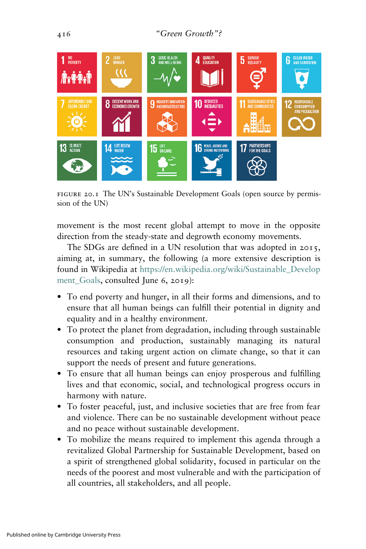

FIGURE 20.1 The UN's Sustainable Development Goals (open source by permission of the UN)

movement is the most recent global attempt to move in the opposite direction from the steady-state and degrowth economy movements.

The SDGs are defined in a UN resolution that was adopted in 2015, aiming at, in summary, the following (a more extensive description is found in Wikipedia at [https://en.wikipedia.org/wiki/Sustainable\\_Develop](https://en.wikipedia.org/wiki/Sustainable_Development_Goals) [ment\\_Goals](https://en.wikipedia.org/wiki/Sustainable_Development_Goals), consulted June 6, 2019):

- To end poverty and hunger, in all their forms and dimensions, and to ensure that all human beings can fulfill their potential in dignity and equality and in a healthy environment.
- To protect the planet from degradation, including through sustainable consumption and production, sustainably managing its natural resources and taking urgent action on climate change, so that it can support the needs of present and future generations.
- To ensure that all human beings can enjoy prosperous and fulfilling lives and that economic, social, and technological progress occurs in harmony with nature.
- To foster peaceful, just, and inclusive societies that are free from fear and violence. There can be no sustainable development without peace and no peace without sustainable development.
- To mobilize the means required to implement this agenda through a revitalized Global Partnership for Sustainable Development, based on a spirit of strengthened global solidarity, focused in particular on the needs of the poorest and most vulnerable and with the participation of all countries, all stakeholders, and all people.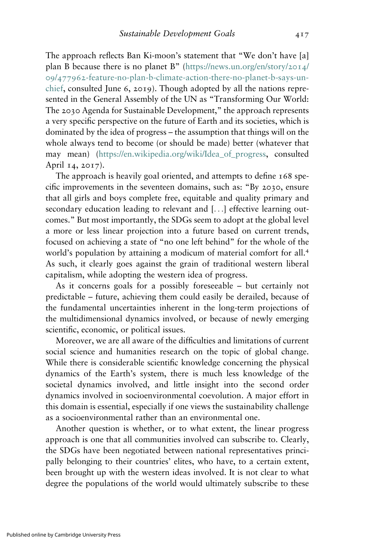The approach reflects Ban Ki-moon's statement that "We don't have [a] plan B because there is no planet B" ([https://news.un.org/en/story/](https://news.un.org/en/story/2014/09/477962-feature-no-plan-b-climate-action-there-no-planet-b-says-un-chief)2014/ 09/477962[-feature-no-plan-b-climate-action-there-no-planet-b-says-un](https://news.un.org/en/story/2014/09/477962-feature-no-plan-b-climate-action-there-no-planet-b-says-un-chief)[chief](https://news.un.org/en/story/2014/09/477962-feature-no-plan-b-climate-action-there-no-planet-b-says-un-chief), consulted June 6, 2019). Though adopted by all the nations represented in the General Assembly of the UN as "Transforming Our World: The 2030 Agenda for Sustainable Development," the approach represents a very specific perspective on the future of Earth and its societies, which is dominated by the idea of progress – the assumption that things will on the whole always tend to become (or should be made) better (whatever that may mean) ([https://en.wikipedia.org/wiki/Idea\\_of\\_progress,](https://en.wikipedia.org/wiki/Idea_of_progress) consulted April 14, 2017).

The approach is heavily goal oriented, and attempts to define 168 specific improvements in the seventeen domains, such as: "By 2030, ensure that all girls and boys complete free, equitable and quality primary and secondary education leading to relevant and [...] effective learning outcomes." But most importantly, the SDGs seem to adopt at the global level a more or less linear projection into a future based on current trends, focused on achieving a state of "no one left behind" for the whole of the world's population by attaining a modicum of material comfort for all.<sup>4</sup> As such, it clearly goes against the grain of traditional western liberal capitalism, while adopting the western idea of progress.

As it concerns goals for a possibly foreseeable – but certainly not predictable – future, achieving them could easily be derailed, because of the fundamental uncertainties inherent in the long-term projections of the multidimensional dynamics involved, or because of newly emerging scientific, economic, or political issues.

Moreover, we are all aware of the difficulties and limitations of current social science and humanities research on the topic of global change. While there is considerable scientific knowledge concerning the physical dynamics of the Earth's system, there is much less knowledge of the societal dynamics involved, and little insight into the second order dynamics involved in socioenvironmental coevolution. A major effort in this domain is essential, especially if one views the sustainability challenge as a socioenvironmental rather than an environmental one.

Another question is whether, or to what extent, the linear progress approach is one that all communities involved can subscribe to. Clearly, the SDGs have been negotiated between national representatives principally belonging to their countries' elites, who have, to a certain extent, been brought up with the western ideas involved. It is not clear to what degree the populations of the world would ultimately subscribe to these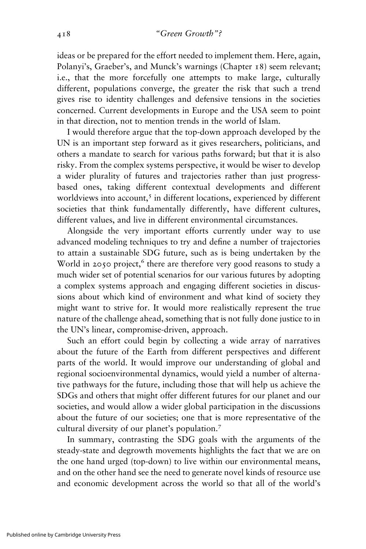ideas or be prepared for the effort needed to implement them. Here, again, Polanyi's, Graeber's, and Munck's warnings (Chapter 18) seem relevant; i.e., that the more forcefully one attempts to make large, culturally different, populations converge, the greater the risk that such a trend gives rise to identity challenges and defensive tensions in the societies concerned. Current developments in Europe and the USA seem to point in that direction, not to mention trends in the world of Islam.

I would therefore argue that the top-down approach developed by the UN is an important step forward as it gives researchers, politicians, and others a mandate to search for various paths forward; but that it is also risky. From the complex systems perspective, it would be wiser to develop a wider plurality of futures and trajectories rather than just progressbased ones, taking different contextual developments and different worldviews into account,<sup>5</sup> in different locations, experienced by different societies that think fundamentally differently, have different cultures, different values, and live in different environmental circumstances.

Alongside the very important efforts currently under way to use advanced modeling techniques to try and define a number of trajectories to attain a sustainable SDG future, such as is being undertaken by the World in 2050 project, $6$  there are therefore very good reasons to study a much wider set of potential scenarios for our various futures by adopting a complex systems approach and engaging different societies in discussions about which kind of environment and what kind of society they might want to strive for. It would more realistically represent the true nature of the challenge ahead, something that is not fully done justice to in the UN's linear, compromise-driven, approach.

Such an effort could begin by collecting a wide array of narratives about the future of the Earth from different perspectives and different parts of the world. It would improve our understanding of global and regional socioenvironmental dynamics, would yield a number of alternative pathways for the future, including those that will help us achieve the SDGs and others that might offer different futures for our planet and our societies, and would allow a wider global participation in the discussions about the future of our societies; one that is more representative of the cultural diversity of our planet's population.7

In summary, contrasting the SDG goals with the arguments of the steady-state and degrowth movements highlights the fact that we are on the one hand urged (top-down) to live within our environmental means, and on the other hand see the need to generate novel kinds of resource use and economic development across the world so that all of the world's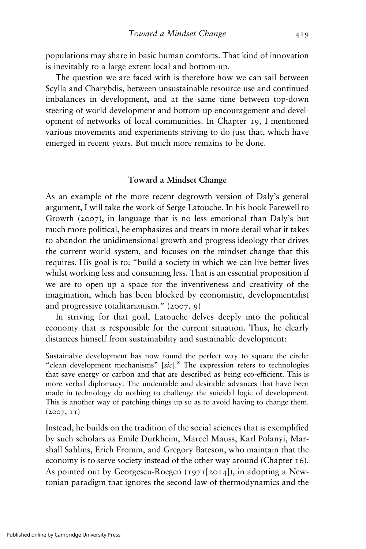populations may share in basic human comforts. That kind of innovation is inevitably to a large extent local and bottom-up.

The question we are faced with is therefore how we can sail between Scylla and Charybdis, between unsustainable resource use and continued imbalances in development, and at the same time between top-down steering of world development and bottom-up encouragement and development of networks of local communities. In Chapter 19, I mentioned various movements and experiments striving to do just that, which have emerged in recent years. But much more remains to be done.

### Toward a Mindset Change

As an example of the more recent degrowth version of Daly's general argument, I will take the work of Serge Latouche. In his book Farewell to Growth (2007), in language that is no less emotional than Daly's but much more political, he emphasizes and treats in more detail what it takes to abandon the unidimensional growth and progress ideology that drives the current world system, and focuses on the mindset change that this requires. His goal is to: "build a society in which we can live better lives whilst working less and consuming less. That is an essential proposition if we are to open up a space for the inventiveness and creativity of the imagination, which has been blocked by economistic, developmentalist and progressive totalitarianism." (2007, 9)

In striving for that goal, Latouche delves deeply into the political economy that is responsible for the current situation. Thus, he clearly distances himself from sustainability and sustainable development:

Sustainable development has now found the perfect way to square the circle: "clean development mechanisms"  $[sic]$ .<sup>8</sup> The expression refers to technologies that save energy or carbon and that are described as being eco-efficient. This is more verbal diplomacy. The undeniable and desirable advances that have been made in technology do nothing to challenge the suicidal logic of development. This is another way of patching things up so as to avoid having to change them.  $(2007, 11)$ 

Instead, he builds on the tradition of the social sciences that is exemplified by such scholars as Emile Durkheim, Marcel Mauss, Karl Polanyi, Marshall Sahlins, Erich Fromm, and Gregory Bateson, who maintain that the economy is to serve society instead of the other way around (Chapter 16). As pointed out by Georgescu-Roegen (1971[2014]), in adopting a Newtonian paradigm that ignores the second law of thermodynamics and the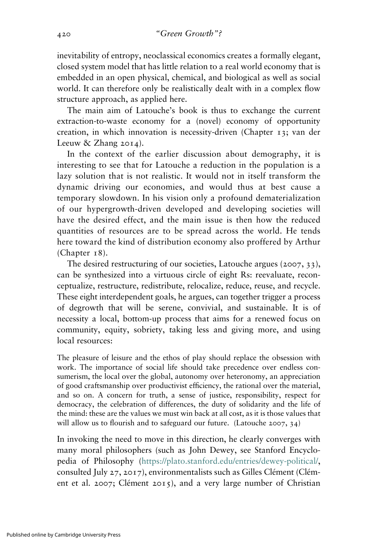inevitability of entropy, neoclassical economics creates a formally elegant, closed system model that has little relation to a real world economy that is embedded in an open physical, chemical, and biological as well as social world. It can therefore only be realistically dealt with in a complex flow structure approach, as applied here.

The main aim of Latouche's book is thus to exchange the current extraction-to-waste economy for a (novel) economy of opportunity creation, in which innovation is necessity-driven (Chapter 13; van der Leeuw  $& Zhang\ 2014$ ).

In the context of the earlier discussion about demography, it is interesting to see that for Latouche a reduction in the population is a lazy solution that is not realistic. It would not in itself transform the dynamic driving our economies, and would thus at best cause a temporary slowdown. In his vision only a profound dematerialization of our hypergrowth-driven developed and developing societies will have the desired effect, and the main issue is then how the reduced quantities of resources are to be spread across the world. He tends here toward the kind of distribution economy also proffered by Arthur  $(Chapter 18)$ .

The desired restructuring of our societies, Latouche argues (2007, 33), can be synthesized into a virtuous circle of eight Rs: reevaluate, reconceptualize, restructure, redistribute, relocalize, reduce, reuse, and recycle. These eight interdependent goals, he argues, can together trigger a process of degrowth that will be serene, convivial, and sustainable. It is of necessity a local, bottom-up process that aims for a renewed focus on community, equity, sobriety, taking less and giving more, and using local resources:

The pleasure of leisure and the ethos of play should replace the obsession with work. The importance of social life should take precedence over endless consumerism, the local over the global, autonomy over heteronomy, an appreciation of good craftsmanship over productivist efficiency, the rational over the material, and so on. A concern for truth, a sense of justice, responsibility, respect for democracy, the celebration of differences, the duty of solidarity and the life of the mind: these are the values we must win back at all cost, as it is those values that will allow us to flourish and to safeguard our future. (Latouche 2007, 34)

In invoking the need to move in this direction, he clearly converges with many moral philosophers (such as John Dewey, see Stanford Encyclopedia of Philosophy [\(https://plato.stanford.edu/entries/dewey-political/](https://plato.stanford.edu/entries/dewey-political/), consulted July 27, 2017), environmentalists such as Gilles Clément (Clément et al. 2007; Clément 2015), and a very large number of Christian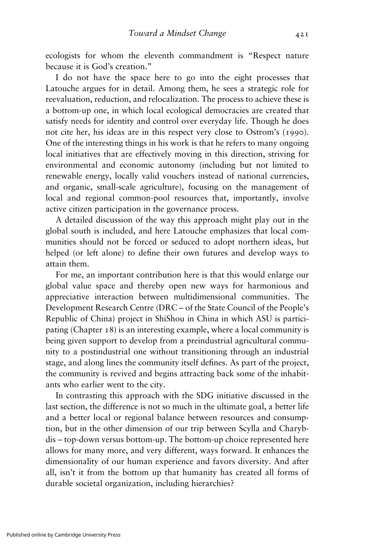ecologists for whom the eleventh commandment is "Respect nature because it is God's creation."

I do not have the space here to go into the eight processes that Latouche argues for in detail. Among them, he sees a strategic role for reevaluation, reduction, and relocalization. The process to achieve these is a bottom-up one, in which local ecological democracies are created that satisfy needs for identity and control over everyday life. Though he does not cite her, his ideas are in this respect very close to Ostrom's (1990). One of the interesting things in his work is that he refers to many ongoing local initiatives that are effectively moving in this direction, striving for environmental and economic autonomy (including but not limited to renewable energy, locally valid vouchers instead of national currencies, and organic, small-scale agriculture), focusing on the management of local and regional common-pool resources that, importantly, involve active citizen participation in the governance process.

A detailed discussion of the way this approach might play out in the global south is included, and here Latouche emphasizes that local communities should not be forced or seduced to adopt northern ideas, but helped (or left alone) to define their own futures and develop ways to attain them.

For me, an important contribution here is that this would enlarge our global value space and thereby open new ways for harmonious and appreciative interaction between multidimensional communities. The Development Research Centre (DRC – of the State Council of the People's Republic of China) project in ShiShou in China in which ASU is participating (Chapter 18) is an interesting example, where a local community is being given support to develop from a preindustrial agricultural community to a postindustrial one without transitioning through an industrial stage, and along lines the community itself defines. As part of the project, the community is revived and begins attracting back some of the inhabitants who earlier went to the city.

In contrasting this approach with the SDG initiative discussed in the last section, the difference is not so much in the ultimate goal, a better life and a better local or regional balance between resources and consumption, but in the other dimension of our trip between Scylla and Charybdis – top-down versus bottom-up. The bottom-up choice represented here allows for many more, and very different, ways forward. It enhances the dimensionality of our human experience and favors diversity. And after all, isn't it from the bottom up that humanity has created all forms of durable societal organization, including hierarchies?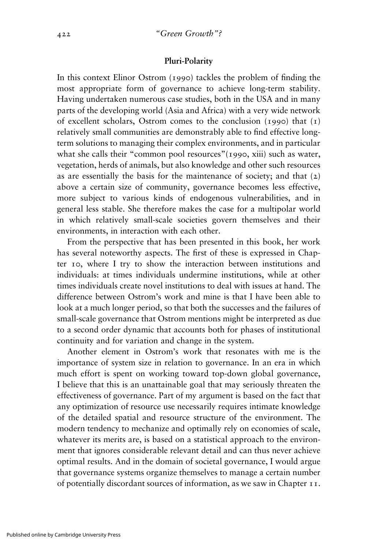### Pluri-Polarity

In this context Elinor Ostrom (1990) tackles the problem of finding the most appropriate form of governance to achieve long-term stability. Having undertaken numerous case studies, both in the USA and in many parts of the developing world (Asia and Africa) with a very wide network of excellent scholars, Ostrom comes to the conclusion  $(1990)$  that  $(1)$ relatively small communities are demonstrably able to find effective longterm solutions to managing their complex environments, and in particular what she calls their "common pool resources" (1990, xiii) such as water, vegetation, herds of animals, but also knowledge and other such resources as are essentially the basis for the maintenance of society; and that (2) above a certain size of community, governance becomes less effective, more subject to various kinds of endogenous vulnerabilities, and in general less stable. She therefore makes the case for a multipolar world in which relatively small-scale societies govern themselves and their environments, in interaction with each other.

From the perspective that has been presented in this book, her work has several noteworthy aspects. The first of these is expressed in Chapter 10, where I try to show the interaction between institutions and individuals: at times individuals undermine institutions, while at other times individuals create novel institutions to deal with issues at hand. The difference between Ostrom's work and mine is that I have been able to look at a much longer period, so that both the successes and the failures of small-scale governance that Ostrom mentions might be interpreted as due to a second order dynamic that accounts both for phases of institutional continuity and for variation and change in the system.

Another element in Ostrom's work that resonates with me is the importance of system size in relation to governance. In an era in which much effort is spent on working toward top-down global governance, I believe that this is an unattainable goal that may seriously threaten the effectiveness of governance. Part of my argument is based on the fact that any optimization of resource use necessarily requires intimate knowledge of the detailed spatial and resource structure of the environment. The modern tendency to mechanize and optimally rely on economies of scale, whatever its merits are, is based on a statistical approach to the environment that ignores considerable relevant detail and can thus never achieve optimal results. And in the domain of societal governance, I would argue that governance systems organize themselves to manage a certain number of potentially discordant sources of information, as we saw in Chapter 11.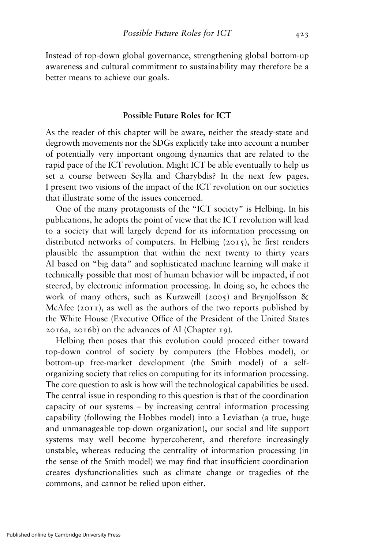Instead of top-down global governance, strengthening global bottom-up awareness and cultural commitment to sustainability may therefore be a better means to achieve our goals.

### Possible Future Roles for ICT

As the reader of this chapter will be aware, neither the steady-state and degrowth movements nor the SDGs explicitly take into account a number of potentially very important ongoing dynamics that are related to the rapid pace of the ICT revolution. Might ICT be able eventually to help us set a course between Scylla and Charybdis? In the next few pages, I present two visions of the impact of the ICT revolution on our societies that illustrate some of the issues concerned.

One of the many protagonists of the "ICT society" is Helbing. In his publications, he adopts the point of view that the ICT revolution will lead to a society that will largely depend for its information processing on distributed networks of computers. In Helbing (2015), he first renders plausible the assumption that within the next twenty to thirty years AI based on "big data" and sophisticated machine learning will make it technically possible that most of human behavior will be impacted, if not steered, by electronic information processing. In doing so, he echoes the work of many others, such as Kurzweill (2005) and Brynjolfsson & McAfee (2011), as well as the authors of the two reports published by the White House (Executive Office of the President of the United States 2016a, 2016b) on the advances of AI (Chapter 19).

Helbing then poses that this evolution could proceed either toward top-down control of society by computers (the Hobbes model), or bottom-up free-market development (the Smith model) of a selforganizing society that relies on computing for its information processing. The core question to ask is how will the technological capabilities be used. The central issue in responding to this question is that of the coordination capacity of our systems – by increasing central information processing capability (following the Hobbes model) into a Leviathan (a true, huge and unmanageable top-down organization), our social and life support systems may well become hypercoherent, and therefore increasingly unstable, whereas reducing the centrality of information processing (in the sense of the Smith model) we may find that insufficient coordination creates dysfunctionalities such as climate change or tragedies of the commons, and cannot be relied upon either.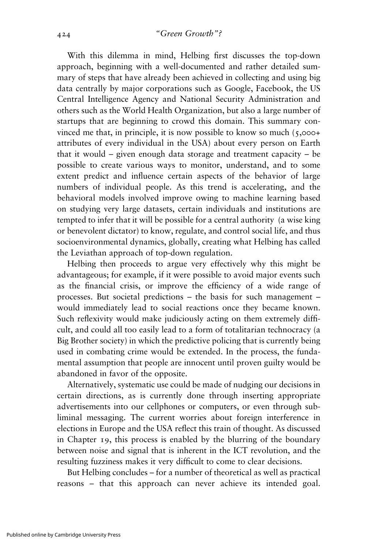With this dilemma in mind, Helbing first discusses the top-down approach, beginning with a well-documented and rather detailed summary of steps that have already been achieved in collecting and using big data centrally by major corporations such as Google, Facebook, the US Central Intelligence Agency and National Security Administration and others such as the World Health Organization, but also a large number of startups that are beginning to crowd this domain. This summary convinced me that, in principle, it is now possible to know so much  $(5,000+$ attributes of every individual in the USA) about every person on Earth that it would – given enough data storage and treatment capacity – be possible to create various ways to monitor, understand, and to some extent predict and influence certain aspects of the behavior of large numbers of individual people. As this trend is accelerating, and the behavioral models involved improve owing to machine learning based on studying very large datasets, certain individuals and institutions are tempted to infer that it will be possible for a central authority (a wise king or benevolent dictator) to know, regulate, and control social life, and thus socioenvironmental dynamics, globally, creating what Helbing has called the Leviathan approach of top-down regulation.

Helbing then proceeds to argue very effectively why this might be advantageous; for example, if it were possible to avoid major events such as the financial crisis, or improve the efficiency of a wide range of processes. But societal predictions – the basis for such management – would immediately lead to social reactions once they became known. Such reflexivity would make judiciously acting on them extremely difficult, and could all too easily lead to a form of totalitarian technocracy (a Big Brother society) in which the predictive policing that is currently being used in combating crime would be extended. In the process, the fundamental assumption that people are innocent until proven guilty would be abandoned in favor of the opposite.

Alternatively, systematic use could be made of nudging our decisions in certain directions, as is currently done through inserting appropriate advertisements into our cellphones or computers, or even through subliminal messaging. The current worries about foreign interference in elections in Europe and the USA reflect this train of thought. As discussed in Chapter 19, this process is enabled by the blurring of the boundary between noise and signal that is inherent in the ICT revolution, and the resulting fuzziness makes it very difficult to come to clear decisions.

But Helbing concludes – for a number of theoretical as well as practical reasons – that this approach can never achieve its intended goal.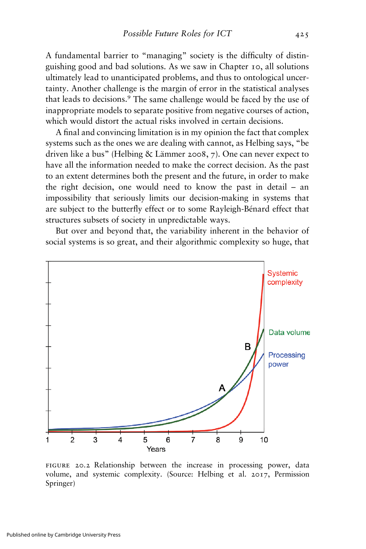A fundamental barrier to "managing" society is the difficulty of distinguishing good and bad solutions. As we saw in Chapter 10, all solutions ultimately lead to unanticipated problems, and thus to ontological uncertainty. Another challenge is the margin of error in the statistical analyses that leads to decisions.<sup>9</sup> The same challenge would be faced by the use of inappropriate models to separate positive from negative courses of action, which would distort the actual risks involved in certain decisions.

A final and convincing limitation is in my opinion the fact that complex systems such as the ones we are dealing with cannot, as Helbing says, "be driven like a bus" (Helbing & Lämmer 2008, 7). One can never expect to have all the information needed to make the correct decision. As the past to an extent determines both the present and the future, in order to make the right decision, one would need to know the past in detail – an impossibility that seriously limits our decision-making in systems that are subject to the butterfly effect or to some Rayleigh-Bénard effect that structures subsets of society in unpredictable ways.

But over and beyond that, the variability inherent in the behavior of social systems is so great, and their algorithmic complexity so huge, that



figure 20.2 Relationship between the increase in processing power, data volume, and systemic complexity. (Source: Helbing et al. 2017, Permission Springer)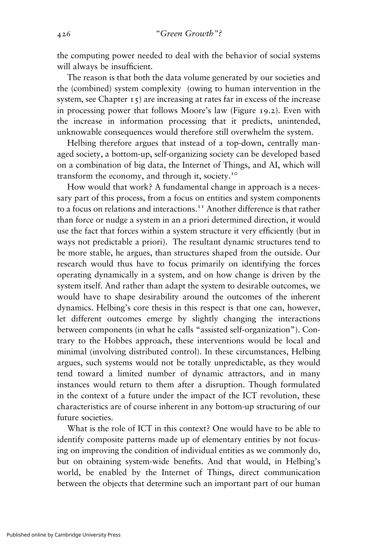the computing power needed to deal with the behavior of social systems will always be insufficient.

The reason is that both the data volume generated by our societies and the (combined) system complexity (owing to human intervention in the system, see Chapter  $15$ ) are increasing at rates far in excess of the increase in processing power that follows Moore's law (Figure 19.2). Even with the increase in information processing that it predicts, unintended, unknowable consequences would therefore still overwhelm the system.

Helbing therefore argues that instead of a top-down, centrally managed society, a bottom-up, self-organizing society can be developed based on a combination of big data, the Internet of Things, and AI, which will transform the economy, and through it, society.10

How would that work? A fundamental change in approach is a necessary part of this process, from a focus on entities and system components to a focus on relations and interactions.<sup>11</sup> Another difference is that rather than force or nudge a system in an a priori determined direction, it would use the fact that forces within a system structure it very efficiently (but in ways not predictable a priori). The resultant dynamic structures tend to be more stable, he argues, than structures shaped from the outside. Our research would thus have to focus primarily on identifying the forces operating dynamically in a system, and on how change is driven by the system itself. And rather than adapt the system to desirable outcomes, we would have to shape desirability around the outcomes of the inherent dynamics. Helbing's core thesis in this respect is that one can, however, let different outcomes emerge by slightly changing the interactions between components (in what he calls "assisted self-organization"). Contrary to the Hobbes approach, these interventions would be local and minimal (involving distributed control). In these circumstances, Helbing argues, such systems would not be totally unpredictable, as they would tend toward a limited number of dynamic attractors, and in many instances would return to them after a disruption. Though formulated in the context of a future under the impact of the ICT revolution, these characteristics are of course inherent in any bottom-up structuring of our future societies.

What is the role of ICT in this context? One would have to be able to identify composite patterns made up of elementary entities by not focusing on improving the condition of individual entities as we commonly do, but on obtaining system-wide benefits. And that would, in Helbing's world, be enabled by the Internet of Things, direct communication between the objects that determine such an important part of our human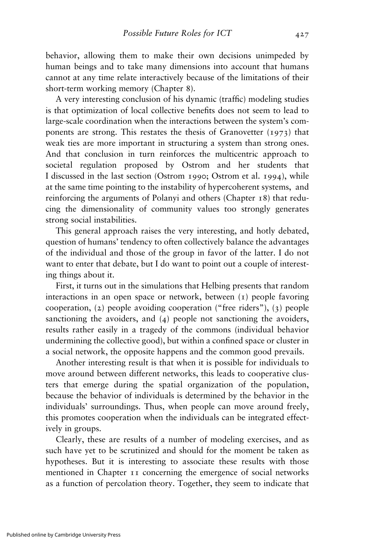behavior, allowing them to make their own decisions unimpeded by human beings and to take many dimensions into account that humans cannot at any time relate interactively because of the limitations of their short-term working memory (Chapter 8).

A very interesting conclusion of his dynamic (traffic) modeling studies is that optimization of local collective benefits does not seem to lead to large-scale coordination when the interactions between the system's components are strong. This restates the thesis of Granovetter (1973) that weak ties are more important in structuring a system than strong ones. And that conclusion in turn reinforces the multicentric approach to societal regulation proposed by Ostrom and her students that I discussed in the last section (Ostrom 1990; Ostrom et al. 1994), while at the same time pointing to the instability of hypercoherent systems, and reinforcing the arguments of Polanyi and others (Chapter 18) that reducing the dimensionality of community values too strongly generates strong social instabilities.

This general approach raises the very interesting, and hotly debated, question of humans' tendency to often collectively balance the advantages of the individual and those of the group in favor of the latter. I do not want to enter that debate, but I do want to point out a couple of interesting things about it.

First, it turns out in the simulations that Helbing presents that random interactions in an open space or network, between (1) people favoring cooperation, (2) people avoiding cooperation ("free riders"), (3) people sanctioning the avoiders, and (4) people not sanctioning the avoiders, results rather easily in a tragedy of the commons (individual behavior undermining the collective good), but within a confined space or cluster in a social network, the opposite happens and the common good prevails.

Another interesting result is that when it is possible for individuals to move around between different networks, this leads to cooperative clusters that emerge during the spatial organization of the population, because the behavior of individuals is determined by the behavior in the individuals' surroundings. Thus, when people can move around freely, this promotes cooperation when the individuals can be integrated effectively in groups.

Clearly, these are results of a number of modeling exercises, and as such have yet to be scrutinized and should for the moment be taken as hypotheses. But it is interesting to associate these results with those mentioned in Chapter 11 concerning the emergence of social networks as a function of percolation theory. Together, they seem to indicate that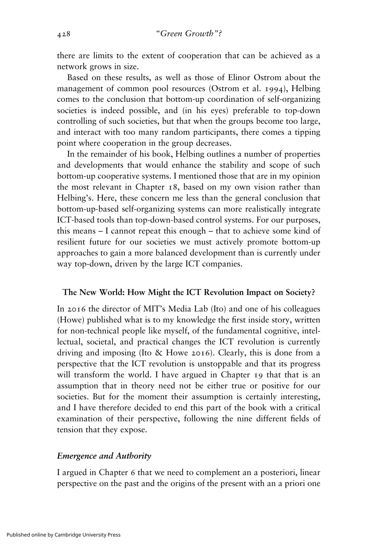there are limits to the extent of cooperation that can be achieved as a network grows in size.

Based on these results, as well as those of Elinor Ostrom about the management of common pool resources (Ostrom et al. 1994), Helbing comes to the conclusion that bottom-up coordination of self-organizing societies is indeed possible, and (in his eyes) preferable to top-down controlling of such societies, but that when the groups become too large, and interact with too many random participants, there comes a tipping point where cooperation in the group decreases.

In the remainder of his book, Helbing outlines a number of properties and developments that would enhance the stability and scope of such bottom-up cooperative systems. I mentioned those that are in my opinion the most relevant in Chapter 18, based on my own vision rather than Helbing's. Here, these concern me less than the general conclusion that bottom-up-based self-organizing systems can more realistically integrate ICT-based tools than top-down-based control systems. For our purposes, this means – I cannot repeat this enough – that to achieve some kind of resilient future for our societies we must actively promote bottom-up approaches to gain a more balanced development than is currently under way top-down, driven by the large ICT companies.

### The New World: How Might the ICT Revolution Impact on Society?

In 2016 the director of MIT's Media Lab (Ito) and one of his colleagues (Howe) published what is to my knowledge the first inside story, written for non-technical people like myself, of the fundamental cognitive, intellectual, societal, and practical changes the ICT revolution is currently driving and imposing (Ito & Howe 2016). Clearly, this is done from a perspective that the ICT revolution is unstoppable and that its progress will transform the world. I have argued in Chapter 19 that that is an assumption that in theory need not be either true or positive for our societies. But for the moment their assumption is certainly interesting, and I have therefore decided to end this part of the book with a critical examination of their perspective, following the nine different fields of tension that they expose.

### Emergence and Authority

I argued in Chapter 6 that we need to complement an a posteriori, linear perspective on the past and the origins of the present with an a priori one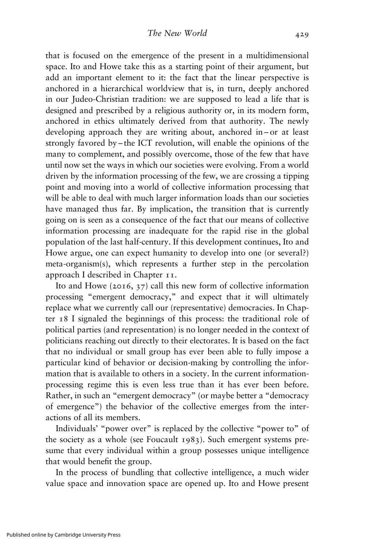that is focused on the emergence of the present in a multidimensional space. Ito and Howe take this as a starting point of their argument, but add an important element to it: the fact that the linear perspective is anchored in a hierarchical worldview that is, in turn, deeply anchored in our Judeo-Christian tradition: we are supposed to lead a life that is designed and prescribed by a religious authority or, in its modern form, anchored in ethics ultimately derived from that authority. The newly developing approach they are writing about, anchored in – or at least strongly favored by – the ICT revolution, will enable the opinions of the many to complement, and possibly overcome, those of the few that have until now set the ways in which our societies were evolving. From a world driven by the information processing of the few, we are crossing a tipping point and moving into a world of collective information processing that will be able to deal with much larger information loads than our societies have managed thus far. By implication, the transition that is currently going on is seen as a consequence of the fact that our means of collective information processing are inadequate for the rapid rise in the global population of the last half-century. If this development continues, Ito and Howe argue, one can expect humanity to develop into one (or several?) meta-organism(s), which represents a further step in the percolation approach I described in Chapter 11.

Ito and Howe (2016, 37) call this new form of collective information processing "emergent democracy," and expect that it will ultimately replace what we currently call our (representative) democracies. In Chapter 18 I signaled the beginnings of this process: the traditional role of political parties (and representation) is no longer needed in the context of politicians reaching out directly to their electorates. It is based on the fact that no individual or small group has ever been able to fully impose a particular kind of behavior or decision-making by controlling the information that is available to others in a society. In the current informationprocessing regime this is even less true than it has ever been before. Rather, in such an "emergent democracy" (or maybe better a "democracy of emergence") the behavior of the collective emerges from the interactions of all its members.

Individuals' "power over" is replaced by the collective "power to" of the society as a whole (see Foucault 1983). Such emergent systems presume that every individual within a group possesses unique intelligence that would benefit the group.

In the process of bundling that collective intelligence, a much wider value space and innovation space are opened up. Ito and Howe present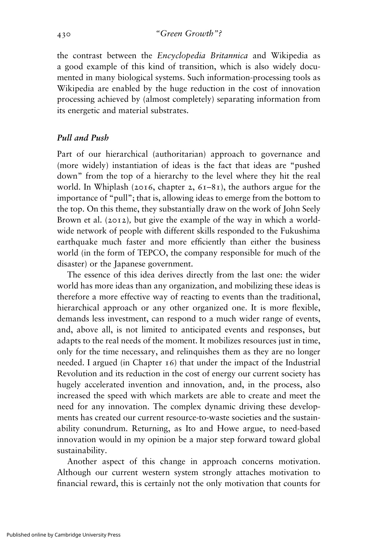the contrast between the Encyclopedia Britannica and Wikipedia as a good example of this kind of transition, which is also widely documented in many biological systems. Such information-processing tools as Wikipedia are enabled by the huge reduction in the cost of innovation processing achieved by (almost completely) separating information from its energetic and material substrates.

## Pull and Push

Part of our hierarchical (authoritarian) approach to governance and (more widely) instantiation of ideas is the fact that ideas are "pushed down" from the top of a hierarchy to the level where they hit the real world. In Whiplash (2016, chapter 2,  $61-81$ ), the authors argue for the importance of "pull"; that is, allowing ideas to emerge from the bottom to the top. On this theme, they substantially draw on the work of John Seely Brown et al. (2012), but give the example of the way in which a worldwide network of people with different skills responded to the Fukushima earthquake much faster and more efficiently than either the business world (in the form of TEPCO, the company responsible for much of the disaster) or the Japanese government.

The essence of this idea derives directly from the last one: the wider world has more ideas than any organization, and mobilizing these ideas is therefore a more effective way of reacting to events than the traditional, hierarchical approach or any other organized one. It is more flexible, demands less investment, can respond to a much wider range of events, and, above all, is not limited to anticipated events and responses, but adapts to the real needs of the moment. It mobilizes resources just in time, only for the time necessary, and relinquishes them as they are no longer needed. I argued (in Chapter 16) that under the impact of the Industrial Revolution and its reduction in the cost of energy our current society has hugely accelerated invention and innovation, and, in the process, also increased the speed with which markets are able to create and meet the need for any innovation. The complex dynamic driving these developments has created our current resource-to-waste societies and the sustainability conundrum. Returning, as Ito and Howe argue, to need-based innovation would in my opinion be a major step forward toward global sustainability.

Another aspect of this change in approach concerns motivation. Although our current western system strongly attaches motivation to financial reward, this is certainly not the only motivation that counts for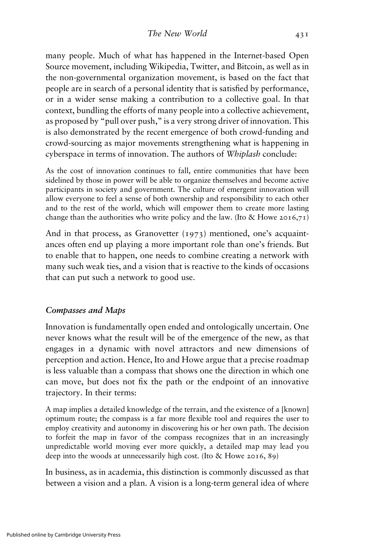many people. Much of what has happened in the Internet-based Open Source movement, including Wikipedia, Twitter, and Bitcoin, as well as in the non-governmental organization movement, is based on the fact that people are in search of a personal identity that is satisfied by performance, or in a wider sense making a contribution to a collective goal. In that context, bundling the efforts of many people into a collective achievement, as proposed by "pull over push," is a very strong driver of innovation. This is also demonstrated by the recent emergence of both crowd-funding and crowd-sourcing as major movements strengthening what is happening in cyberspace in terms of innovation. The authors of Whiplash conclude:

As the cost of innovation continues to fall, entire communities that have been sidelined by those in power will be able to organize themselves and become active participants in society and government. The culture of emergent innovation will allow everyone to feel a sense of both ownership and responsibility to each other and to the rest of the world, which will empower them to create more lasting change than the authorities who write policy and the law. (Ito  $\&$  Howe 2016,71)

And in that process, as Granovetter (1973) mentioned, one's acquaintances often end up playing a more important role than one's friends. But to enable that to happen, one needs to combine creating a network with many such weak ties, and a vision that is reactive to the kinds of occasions that can put such a network to good use.

### Compasses and Maps

Innovation is fundamentally open ended and ontologically uncertain. One never knows what the result will be of the emergence of the new, as that engages in a dynamic with novel attractors and new dimensions of perception and action. Hence, Ito and Howe argue that a precise roadmap is less valuable than a compass that shows one the direction in which one can move, but does not fix the path or the endpoint of an innovative trajectory. In their terms:

A map implies a detailed knowledge of the terrain, and the existence of a [known] optimum route; the compass is a far more flexible tool and requires the user to employ creativity and autonomy in discovering his or her own path. The decision to forfeit the map in favor of the compass recognizes that in an increasingly unpredictable world moving ever more quickly, a detailed map may lead you deep into the woods at unnecessarily high cost. (Ito & Howe 2016, 89)

In business, as in academia, this distinction is commonly discussed as that between a vision and a plan. A vision is a long-term general idea of where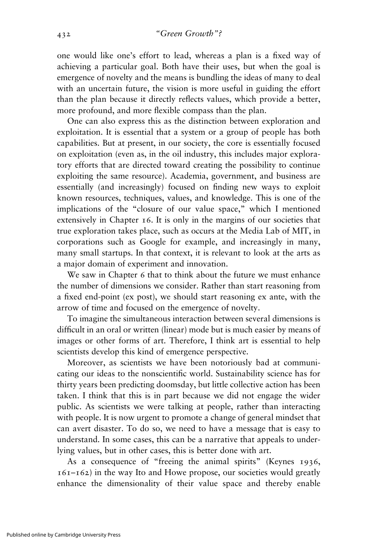one would like one's effort to lead, whereas a plan is a fixed way of achieving a particular goal. Both have their uses, but when the goal is emergence of novelty and the means is bundling the ideas of many to deal with an uncertain future, the vision is more useful in guiding the effort than the plan because it directly reflects values, which provide a better, more profound, and more flexible compass than the plan.

One can also express this as the distinction between exploration and exploitation. It is essential that a system or a group of people has both capabilities. But at present, in our society, the core is essentially focused on exploitation (even as, in the oil industry, this includes major exploratory efforts that are directed toward creating the possibility to continue exploiting the same resource). Academia, government, and business are essentially (and increasingly) focused on finding new ways to exploit known resources, techniques, values, and knowledge. This is one of the implications of the "closure of our value space," which I mentioned extensively in Chapter 16. It is only in the margins of our societies that true exploration takes place, such as occurs at the Media Lab of MIT, in corporations such as Google for example, and increasingly in many, many small startups. In that context, it is relevant to look at the arts as a major domain of experiment and innovation.

We saw in Chapter 6 that to think about the future we must enhance the number of dimensions we consider. Rather than start reasoning from a fixed end-point (ex post), we should start reasoning ex ante, with the arrow of time and focused on the emergence of novelty.

To imagine the simultaneous interaction between several dimensions is difficult in an oral or written (linear) mode but is much easier by means of images or other forms of art. Therefore, I think art is essential to help scientists develop this kind of emergence perspective.

Moreover, as scientists we have been notoriously bad at communicating our ideas to the nonscientific world. Sustainability science has for thirty years been predicting doomsday, but little collective action has been taken. I think that this is in part because we did not engage the wider public. As scientists we were talking at people, rather than interacting with people. It is now urgent to promote a change of general mindset that can avert disaster. To do so, we need to have a message that is easy to understand. In some cases, this can be a narrative that appeals to underlying values, but in other cases, this is better done with art.

As a consequence of "freeing the animal spirits" (Keynes 1936,  $161-162$ ) in the way Ito and Howe propose, our societies would greatly enhance the dimensionality of their value space and thereby enable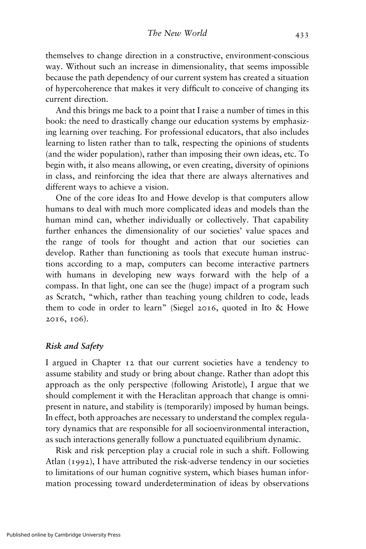themselves to change direction in a constructive, environment-conscious way. Without such an increase in dimensionality, that seems impossible because the path dependency of our current system has created a situation of hypercoherence that makes it very difficult to conceive of changing its current direction.

And this brings me back to a point that I raise a number of times in this book: the need to drastically change our education systems by emphasizing learning over teaching. For professional educators, that also includes learning to listen rather than to talk, respecting the opinions of students (and the wider population), rather than imposing their own ideas, etc. To begin with, it also means allowing, or even creating, diversity of opinions in class, and reinforcing the idea that there are always alternatives and different ways to achieve a vision.

One of the core ideas Ito and Howe develop is that computers allow humans to deal with much more complicated ideas and models than the human mind can, whether individually or collectively. That capability further enhances the dimensionality of our societies' value spaces and the range of tools for thought and action that our societies can develop. Rather than functioning as tools that execute human instructions according to a map, computers can become interactive partners with humans in developing new ways forward with the help of a compass. In that light, one can see the (huge) impact of a program such as Scratch, "which, rather than teaching young children to code, leads them to code in order to learn" (Siegel 2016, quoted in Ito & Howe 2016, 106).

#### Risk and Safety

I argued in Chapter 12 that our current societies have a tendency to assume stability and study or bring about change. Rather than adopt this approach as the only perspective (following Aristotle), I argue that we should complement it with the Heraclitan approach that change is omnipresent in nature, and stability is (temporarily) imposed by human beings. In effect, both approaches are necessary to understand the complex regulatory dynamics that are responsible for all socioenvironmental interaction, as such interactions generally follow a punctuated equilibrium dynamic.

Risk and risk perception play a crucial role in such a shift. Following Atlan (1992), I have attributed the risk-adverse tendency in our societies to limitations of our human cognitive system, which biases human information processing toward underdetermination of ideas by observations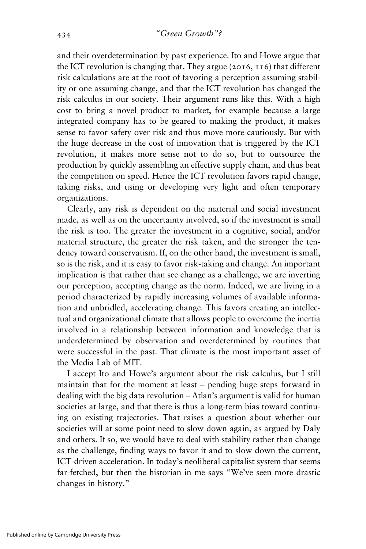and their overdetermination by past experience. Ito and Howe argue that the ICT revolution is changing that. They argue (2016, 116) that different risk calculations are at the root of favoring a perception assuming stability or one assuming change, and that the ICT revolution has changed the risk calculus in our society. Their argument runs like this. With a high cost to bring a novel product to market, for example because a large integrated company has to be geared to making the product, it makes sense to favor safety over risk and thus move more cautiously. But with the huge decrease in the cost of innovation that is triggered by the ICT revolution, it makes more sense not to do so, but to outsource the production by quickly assembling an effective supply chain, and thus beat the competition on speed. Hence the ICT revolution favors rapid change, taking risks, and using or developing very light and often temporary organizations.

Clearly, any risk is dependent on the material and social investment made, as well as on the uncertainty involved, so if the investment is small the risk is too. The greater the investment in a cognitive, social, and/or material structure, the greater the risk taken, and the stronger the tendency toward conservatism. If, on the other hand, the investment is small, so is the risk, and it is easy to favor risk-taking and change. An important implication is that rather than see change as a challenge, we are inverting our perception, accepting change as the norm. Indeed, we are living in a period characterized by rapidly increasing volumes of available information and unbridled, accelerating change. This favors creating an intellectual and organizational climate that allows people to overcome the inertia involved in a relationship between information and knowledge that is underdetermined by observation and overdetermined by routines that were successful in the past. That climate is the most important asset of the Media Lab of MIT.

I accept Ito and Howe's argument about the risk calculus, but I still maintain that for the moment at least – pending huge steps forward in dealing with the big data revolution – Atlan's argument is valid for human societies at large, and that there is thus a long-term bias toward continuing on existing trajectories. That raises a question about whether our societies will at some point need to slow down again, as argued by Daly and others. If so, we would have to deal with stability rather than change as the challenge, finding ways to favor it and to slow down the current, ICT-driven acceleration. In today's neoliberal capitalist system that seems far-fetched, but then the historian in me says "We've seen more drastic changes in history."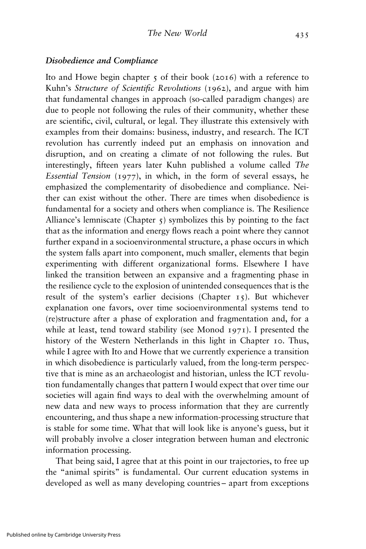### Disobedience and Compliance

Ito and Howe begin chapter 5 of their book (2016) with a reference to Kuhn'<sup>s</sup> Structure of Scientific Revolutions (1962), and argue with him that fundamental changes in approach (so-called paradigm changes) are due to people not following the rules of their community, whether these are scientific, civil, cultural, or legal. They illustrate this extensively with examples from their domains: business, industry, and research. The ICT revolution has currently indeed put an emphasis on innovation and disruption, and on creating a climate of not following the rules. But interestingly, fifteen years later Kuhn published a volume called The Essential Tension (1977), in which, in the form of several essays, he emphasized the complementarity of disobedience and compliance. Neither can exist without the other. There are times when disobedience is fundamental for a society and others when compliance is. The Resilience Alliance's lemniscate (Chapter  $\varsigma$ ) symbolizes this by pointing to the fact that as the information and energy flows reach a point where they cannot further expand in a socioenvironmental structure, a phase occurs in which the system falls apart into component, much smaller, elements that begin experimenting with different organizational forms. Elsewhere I have linked the transition between an expansive and a fragmenting phase in the resilience cycle to the explosion of unintended consequences that is the result of the system's earlier decisions (Chapter 15). But whichever explanation one favors, over time socioenvironmental systems tend to (re)structure after a phase of exploration and fragmentation and, for a while at least, tend toward stability (see Monod 1971). I presented the history of the Western Netherlands in this light in Chapter 10. Thus, while I agree with Ito and Howe that we currently experience a transition in which disobedience is particularly valued, from the long-term perspective that is mine as an archaeologist and historian, unless the ICT revolution fundamentally changes that pattern I would expect that over time our societies will again find ways to deal with the overwhelming amount of new data and new ways to process information that they are currently encountering, and thus shape a new information-processing structure that is stable for some time. What that will look like is anyone's guess, but it will probably involve a closer integration between human and electronic information processing.

That being said, I agree that at this point in our trajectories, to free up the "animal spirits" is fundamental. Our current education systems in developed as well as many developing countries – apart from exceptions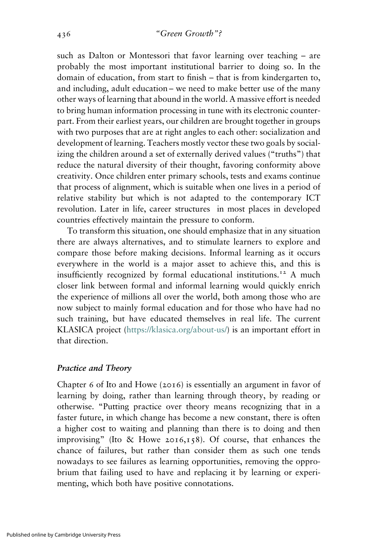such as Dalton or Montessori that favor learning over teaching – are probably the most important institutional barrier to doing so. In the domain of education, from start to finish – that is from kindergarten to, and including, adult education – we need to make better use of the many other ways of learning that abound in the world. A massive effort is needed to bring human information processing in tune with its electronic counterpart. From their earliest years, our children are brought together in groups with two purposes that are at right angles to each other: socialization and development of learning. Teachers mostly vector these two goals by socializing the children around a set of externally derived values ("truths") that reduce the natural diversity of their thought, favoring conformity above creativity. Once children enter primary schools, tests and exams continue that process of alignment, which is suitable when one lives in a period of relative stability but which is not adapted to the contemporary ICT revolution. Later in life, career structures in most places in developed countries effectively maintain the pressure to conform.

To transform this situation, one should emphasize that in any situation there are always alternatives, and to stimulate learners to explore and compare those before making decisions. Informal learning as it occurs everywhere in the world is a major asset to achieve this, and this is insufficiently recognized by formal educational institutions.<sup>12</sup> A much closer link between formal and informal learning would quickly enrich the experience of millions all over the world, both among those who are now subject to mainly formal education and for those who have had no such training, but have educated themselves in real life. The current KLASICA project [\(https://klasica.org/about-us/\)](https://klasica.org/about-us/) is an important effort in that direction.

### Practice and Theory

Chapter 6 of Ito and Howe (2016) is essentially an argument in favor of learning by doing, rather than learning through theory, by reading or otherwise. "Putting practice over theory means recognizing that in a faster future, in which change has become a new constant, there is often a higher cost to waiting and planning than there is to doing and then improvising" (Ito & Howe 2016,158). Of course, that enhances the chance of failures, but rather than consider them as such one tends nowadays to see failures as learning opportunities, removing the opprobrium that failing used to have and replacing it by learning or experimenting, which both have positive connotations.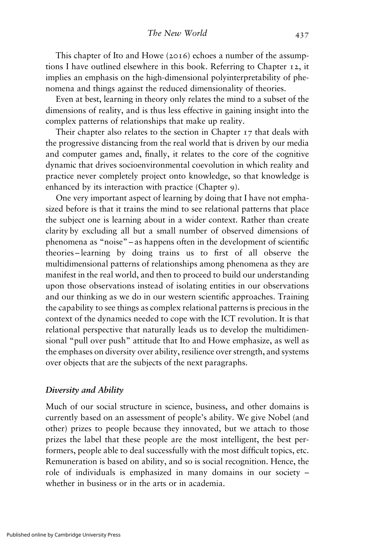This chapter of Ito and Howe (2016) echoes a number of the assumptions I have outlined elsewhere in this book. Referring to Chapter 12, it implies an emphasis on the high-dimensional polyinterpretability of phenomena and things against the reduced dimensionality of theories.

Even at best, learning in theory only relates the mind to a subset of the dimensions of reality, and is thus less effective in gaining insight into the complex patterns of relationships that make up reality.

Their chapter also relates to the section in Chapter 17 that deals with the progressive distancing from the real world that is driven by our media and computer games and, finally, it relates to the core of the cognitive dynamic that drives socioenvironmental coevolution in which reality and practice never completely project onto knowledge, so that knowledge is enhanced by its interaction with practice (Chapter 9).

One very important aspect of learning by doing that I have not emphasized before is that it trains the mind to see relational patterns that place the subject one is learning about in a wider context. Rather than create clarity by excluding all but a small number of observed dimensions of phenomena as "noise" – as happens often in the development of scientific theories – learning by doing trains us to first of all observe the multidimensional patterns of relationships among phenomena as they are manifest in the real world, and then to proceed to build our understanding upon those observations instead of isolating entities in our observations and our thinking as we do in our western scientific approaches. Training the capability to see things as complex relational patterns is precious in the context of the dynamics needed to cope with the ICT revolution. It is that relational perspective that naturally leads us to develop the multidimensional "pull over push" attitude that Ito and Howe emphasize, as well as the emphases on diversity over ability, resilience over strength, and systems over objects that are the subjects of the next paragraphs.

### Diversity and Ability

Much of our social structure in science, business, and other domains is currently based on an assessment of people's ability. We give Nobel (and other) prizes to people because they innovated, but we attach to those prizes the label that these people are the most intelligent, the best performers, people able to deal successfully with the most difficult topics, etc. Remuneration is based on ability, and so is social recognition. Hence, the role of individuals is emphasized in many domains in our society – whether in business or in the arts or in academia.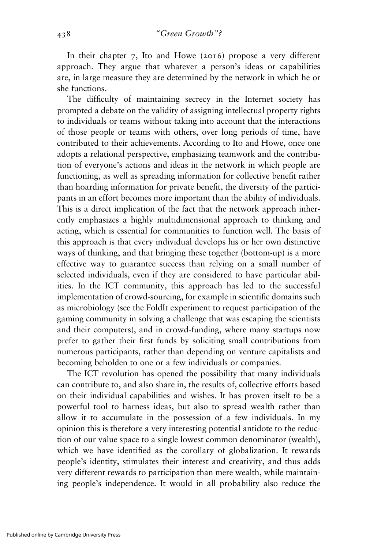In their chapter 7, Ito and Howe (2016) propose a very different approach. They argue that whatever a person's ideas or capabilities are, in large measure they are determined by the network in which he or she functions.

The difficulty of maintaining secrecy in the Internet society has prompted a debate on the validity of assigning intellectual property rights to individuals or teams without taking into account that the interactions of those people or teams with others, over long periods of time, have contributed to their achievements. According to Ito and Howe, once one adopts a relational perspective, emphasizing teamwork and the contribution of everyone's actions and ideas in the network in which people are functioning, as well as spreading information for collective benefit rather than hoarding information for private benefit, the diversity of the participants in an effort becomes more important than the ability of individuals. This is a direct implication of the fact that the network approach inherently emphasizes a highly multidimensional approach to thinking and acting, which is essential for communities to function well. The basis of this approach is that every individual develops his or her own distinctive ways of thinking, and that bringing these together (bottom-up) is a more effective way to guarantee success than relying on a small number of selected individuals, even if they are considered to have particular abilities. In the ICT community, this approach has led to the successful implementation of crowd-sourcing, for example in scientific domains such as microbiology (see the FoldIt experiment to request participation of the gaming community in solving a challenge that was escaping the scientists and their computers), and in crowd-funding, where many startups now prefer to gather their first funds by soliciting small contributions from numerous participants, rather than depending on venture capitalists and becoming beholden to one or a few individuals or companies.

The ICT revolution has opened the possibility that many individuals can contribute to, and also share in, the results of, collective efforts based on their individual capabilities and wishes. It has proven itself to be a powerful tool to harness ideas, but also to spread wealth rather than allow it to accumulate in the possession of a few individuals. In my opinion this is therefore a very interesting potential antidote to the reduction of our value space to a single lowest common denominator (wealth), which we have identified as the corollary of globalization. It rewards people's identity, stimulates their interest and creativity, and thus adds very different rewards to participation than mere wealth, while maintaining people's independence. It would in all probability also reduce the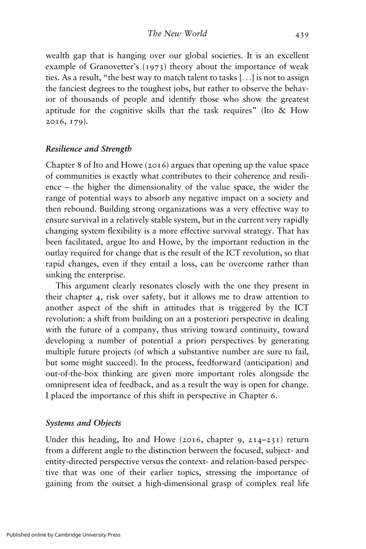wealth gap that is hanging over our global societies. It is an excellent example of Granovetter's (1973) theory about the importance of weak ties. As a result, "the best way to match talent to tasks [...] is not to assign the fanciest degrees to the toughest jobs, but rather to observe the behavior of thousands of people and identify those who show the greatest aptitude for the cognitive skills that the task requires" (Ito & How 2016, 179).

### Resilience and Strength

Chapter 8 of Ito and Howe (2016) argues that opening up the value space of communities is exactly what contributes to their coherence and resilience – the higher the dimensionality of the value space, the wider the range of potential ways to absorb any negative impact on a society and then rebound. Building strong organizations was a very effective way to ensure survival in a relatively stable system, but in the current very rapidly changing system flexibility is a more effective survival strategy. That has been facilitated, argue Ito and Howe, by the important reduction in the outlay required for change that is the result of the ICT revolution, so that rapid changes, even if they entail a loss, can be overcome rather than sinking the enterprise.

This argument clearly resonates closely with the one they present in their chapter 4, risk over safety, but it allows me to draw attention to another aspect of the shift in attitudes that is triggered by the ICT revolution: a shift from building on an a posteriori perspective in dealing with the future of a company, thus striving toward continuity, toward developing a number of potential a priori perspectives by generating multiple future projects (of which a substantive number are sure to fail, but some might succeed). In the process, feedforward (anticipation) and out-of-the-box thinking are given more important roles alongside the omnipresent idea of feedback, and as a result the way is open for change. I placed the importance of this shift in perspective in Chapter 6.

### Systems and Objects

Under this heading, Ito and Howe (2016, chapter 9, 214–231) return from a different angle to the distinction between the focused, subject- and entity-directed perspective versus the context- and relation-based perspective that was one of their earlier topics, stressing the importance of gaining from the outset a high-dimensional grasp of complex real life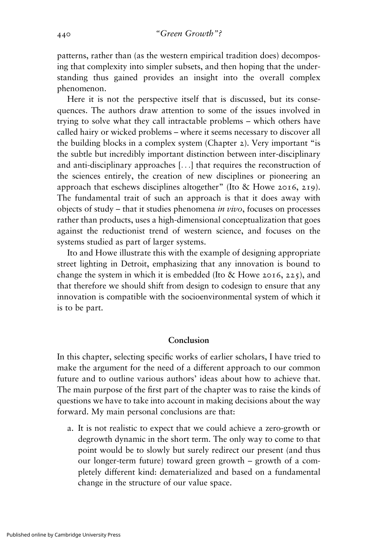patterns, rather than (as the western empirical tradition does) decomposing that complexity into simpler subsets, and then hoping that the understanding thus gained provides an insight into the overall complex phenomenon.

Here it is not the perspective itself that is discussed, but its consequences. The authors draw attention to some of the issues involved in trying to solve what they call intractable problems – which others have called hairy or wicked problems – where it seems necessary to discover all the building blocks in a complex system (Chapter 2). Very important "is the subtle but incredibly important distinction between inter-disciplinary and anti-disciplinary approaches [...] that requires the reconstruction of the sciences entirely, the creation of new disciplines or pioneering an approach that eschews disciplines altogether" (Ito  $\&$  Howe 2016, 219). The fundamental trait of such an approach is that it does away with objects of study – that it studies phenomena in vivo, focuses on processes rather than products, uses a high-dimensional conceptualization that goes against the reductionist trend of western science, and focuses on the systems studied as part of larger systems.

Ito and Howe illustrate this with the example of designing appropriate street lighting in Detroit, emphasizing that any innovation is bound to change the system in which it is embedded (Ito  $\&$  Howe 2016, 225), and that therefore we should shift from design to codesign to ensure that any innovation is compatible with the socioenvironmental system of which it is to be part.

### Conclusion

In this chapter, selecting specific works of earlier scholars, I have tried to make the argument for the need of a different approach to our common future and to outline various authors' ideas about how to achieve that. The main purpose of the first part of the chapter was to raise the kinds of questions we have to take into account in making decisions about the way forward. My main personal conclusions are that:

a. It is not realistic to expect that we could achieve a zero-growth or degrowth dynamic in the short term. The only way to come to that point would be to slowly but surely redirect our present (and thus our longer-term future) toward green growth – growth of a completely different kind: dematerialized and based on a fundamental change in the structure of our value space.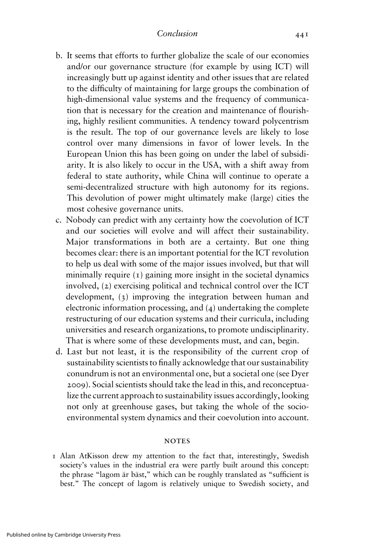- b. It seems that efforts to further globalize the scale of our economies and/or our governance structure (for example by using ICT) will increasingly butt up against identity and other issues that are related to the difficulty of maintaining for large groups the combination of high-dimensional value systems and the frequency of communication that is necessary for the creation and maintenance of flourishing, highly resilient communities. A tendency toward polycentrism is the result. The top of our governance levels are likely to lose control over many dimensions in favor of lower levels. In the European Union this has been going on under the label of subsidiarity. It is also likely to occur in the USA, with a shift away from federal to state authority, while China will continue to operate a semi-decentralized structure with high autonomy for its regions. This devolution of power might ultimately make (large) cities the most cohesive governance units.
- c. Nobody can predict with any certainty how the coevolution of ICT and our societies will evolve and will affect their sustainability. Major transformations in both are a certainty. But one thing becomes clear: there is an important potential for the ICT revolution to help us deal with some of the major issues involved, but that will minimally require (1) gaining more insight in the societal dynamics involved, (2) exercising political and technical control over the ICT development, (3) improving the integration between human and electronic information processing, and (4) undertaking the complete restructuring of our education systems and their curricula, including universities and research organizations, to promote undisciplinarity. That is where some of these developments must, and can, begin.
- d. Last but not least, it is the responsibility of the current crop of sustainability scientists to finally acknowledge that our sustainability conundrum is not an environmental one, but a societal one (see Dyer 2009). Social scientists should take the lead in this, and reconceptualize the current approach to sustainability issues accordingly, looking not only at greenhouse gases, but taking the whole of the socioenvironmental system dynamics and their coevolution into account.

#### **NOTES** notes

1 Alan AtKisson drew my attention to the fact that, interestingly, Swedish society's values in the industrial era were partly built around this concept: the phrase "lagom är bäst," which can be roughly translated as "sufficient is best." The concept of lagom is relatively unique to Swedish society, and